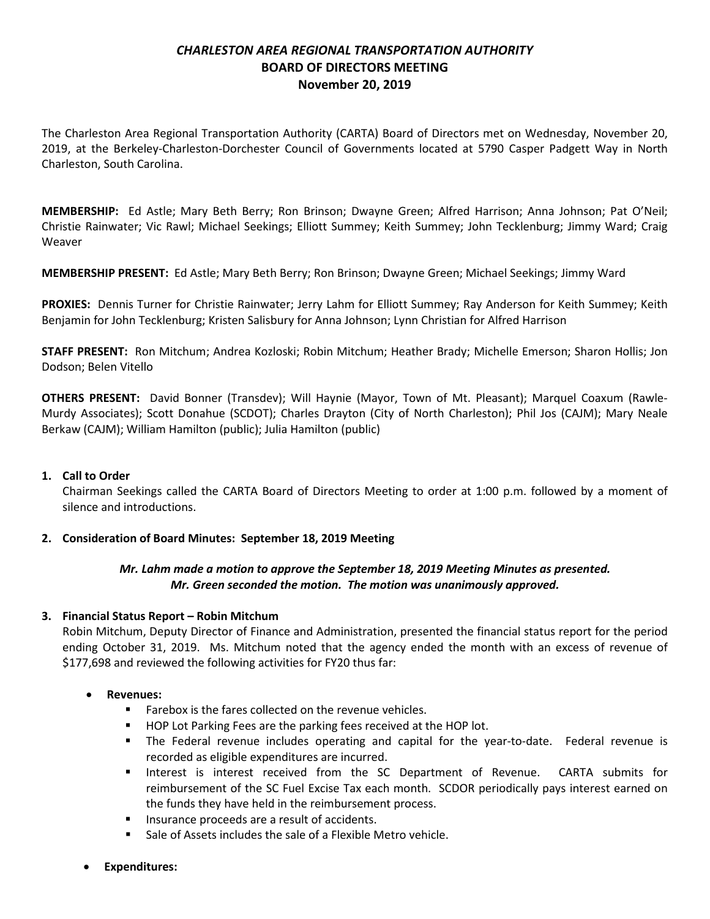# *CHARLESTON AREA REGIONAL TRANSPORTATION AUTHORITY* **BOARD OF DIRECTORS MEETING November 20, 2019**

The Charleston Area Regional Transportation Authority (CARTA) Board of Directors met on Wednesday, November 20, 2019, at the Berkeley-Charleston-Dorchester Council of Governments located at 5790 Casper Padgett Way in North Charleston, South Carolina.

**MEMBERSHIP:** Ed Astle; Mary Beth Berry; Ron Brinson; Dwayne Green; Alfred Harrison; Anna Johnson; Pat O'Neil; Christie Rainwater; Vic Rawl; Michael Seekings; Elliott Summey; Keith Summey; John Tecklenburg; Jimmy Ward; Craig Weaver

**MEMBERSHIP PRESENT:** Ed Astle; Mary Beth Berry; Ron Brinson; Dwayne Green; Michael Seekings; Jimmy Ward

**PROXIES:** Dennis Turner for Christie Rainwater; Jerry Lahm for Elliott Summey; Ray Anderson for Keith Summey; Keith Benjamin for John Tecklenburg; Kristen Salisbury for Anna Johnson; Lynn Christian for Alfred Harrison

**STAFF PRESENT:** Ron Mitchum; Andrea Kozloski; Robin Mitchum; Heather Brady; Michelle Emerson; Sharon Hollis; Jon Dodson; Belen Vitello

**OTHERS PRESENT:** David Bonner (Transdev); Will Haynie (Mayor, Town of Mt. Pleasant); Marquel Coaxum (Rawle-Murdy Associates); Scott Donahue (SCDOT); Charles Drayton (City of North Charleston); Phil Jos (CAJM); Mary Neale Berkaw (CAJM); William Hamilton (public); Julia Hamilton (public)

### **1. Call to Order**

Chairman Seekings called the CARTA Board of Directors Meeting to order at 1:00 p.m. followed by a moment of silence and introductions.

### **2. Consideration of Board Minutes: September 18, 2019 Meeting**

## *Mr. Lahm made a motion to approve the September 18, 2019 Meeting Minutes as presented. Mr. Green seconded the motion. The motion was unanimously approved.*

### **3. Financial Status Report – Robin Mitchum**

Robin Mitchum, Deputy Director of Finance and Administration, presented the financial status report for the period ending October 31, 2019. Ms. Mitchum noted that the agency ended the month with an excess of revenue of \$177,698 and reviewed the following activities for FY20 thus far:

### • **Revenues:**

- **Farebox is the fares collected on the revenue vehicles.**
- **HOP Lot Parking Fees are the parking fees received at the HOP lot.**
- The Federal revenue includes operating and capital for the year-to-date. Federal revenue is recorded as eligible expenditures are incurred.
- Interest is interest received from the SC Department of Revenue. CARTA submits for reimbursement of the SC Fuel Excise Tax each month. SCDOR periodically pays interest earned on the funds they have held in the reimbursement process.
- **Insurance proceeds are a result of accidents.**
- Sale of Assets includes the sale of a Flexible Metro vehicle.
- **Expenditures:**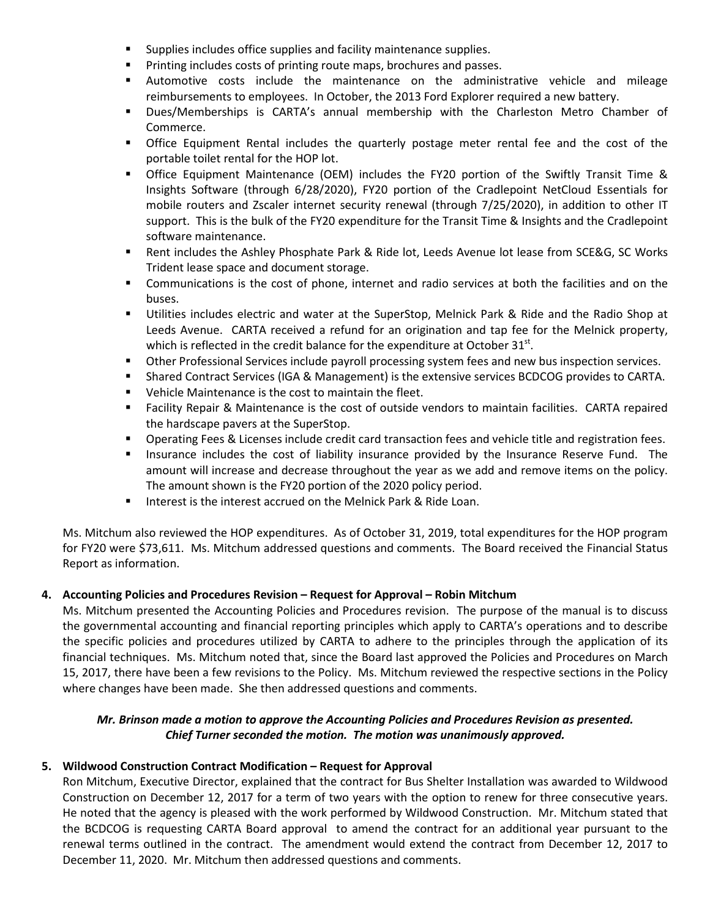- **Supplies includes office supplies and facility maintenance supplies.**
- **Printing includes costs of printing route maps, brochures and passes.**
- Automotive costs include the maintenance on the administrative vehicle and mileage reimbursements to employees. In October, the 2013 Ford Explorer required a new battery.
- Dues/Memberships is CARTA's annual membership with the Charleston Metro Chamber of Commerce.
- Office Equipment Rental includes the quarterly postage meter rental fee and the cost of the portable toilet rental for the HOP lot.
- Office Equipment Maintenance (OEM) includes the FY20 portion of the Swiftly Transit Time & Insights Software (through 6/28/2020), FY20 portion of the Cradlepoint NetCloud Essentials for mobile routers and Zscaler internet security renewal (through 7/25/2020), in addition to other IT support. This is the bulk of the FY20 expenditure for the Transit Time & Insights and the Cradlepoint software maintenance.
- Rent includes the Ashley Phosphate Park & Ride lot, Leeds Avenue lot lease from SCE&G, SC Works Trident lease space and document storage.
- Communications is the cost of phone, internet and radio services at both the facilities and on the buses.
- Utilities includes electric and water at the SuperStop, Melnick Park & Ride and the Radio Shop at Leeds Avenue. CARTA received a refund for an origination and tap fee for the Melnick property, which is reflected in the credit balance for the expenditure at October  $31<sup>st</sup>$ .
- Other Professional Services include payroll processing system fees and new bus inspection services.
- Shared Contract Services (IGA & Management) is the extensive services BCDCOG provides to CARTA.
- Vehicle Maintenance is the cost to maintain the fleet.
- Facility Repair & Maintenance is the cost of outside vendors to maintain facilities. CARTA repaired the hardscape pavers at the SuperStop.
- **P** Operating Fees & Licenses include credit card transaction fees and vehicle title and registration fees.
- **Insurance includes the cost of liability insurance provided by the Insurance Reserve Fund.** The amount will increase and decrease throughout the year as we add and remove items on the policy. The amount shown is the FY20 portion of the 2020 policy period.
- **IF Interest is the interest accrued on the Melnick Park & Ride Loan.**

Ms. Mitchum also reviewed the HOP expenditures. As of October 31, 2019, total expenditures for the HOP program for FY20 were \$73,611. Ms. Mitchum addressed questions and comments. The Board received the Financial Status Report as information.

# **4. Accounting Policies and Procedures Revision – Request for Approval – Robin Mitchum**

Ms. Mitchum presented the Accounting Policies and Procedures revision. The purpose of the manual is to discuss the governmental accounting and financial reporting principles which apply to CARTA's operations and to describe the specific policies and procedures utilized by CARTA to adhere to the principles through the application of its financial techniques. Ms. Mitchum noted that, since the Board last approved the Policies and Procedures on March 15, 2017, there have been a few revisions to the Policy. Ms. Mitchum reviewed the respective sections in the Policy where changes have been made. She then addressed questions and comments.

## *Mr. Brinson made a motion to approve the Accounting Policies and Procedures Revision as presented. Chief Turner seconded the motion. The motion was unanimously approved.*

# **5. Wildwood Construction Contract Modification – Request for Approval**

Ron Mitchum, Executive Director, explained that the contract for Bus Shelter Installation was awarded to Wildwood Construction on December 12, 2017 for a term of two years with the option to renew for three consecutive years. He noted that the agency is pleased with the work performed by Wildwood Construction. Mr. Mitchum stated that the BCDCOG is requesting CARTA Board approval to amend the contract for an additional year pursuant to the renewal terms outlined in the contract. The amendment would extend the contract from December 12, 2017 to December 11, 2020. Mr. Mitchum then addressed questions and comments.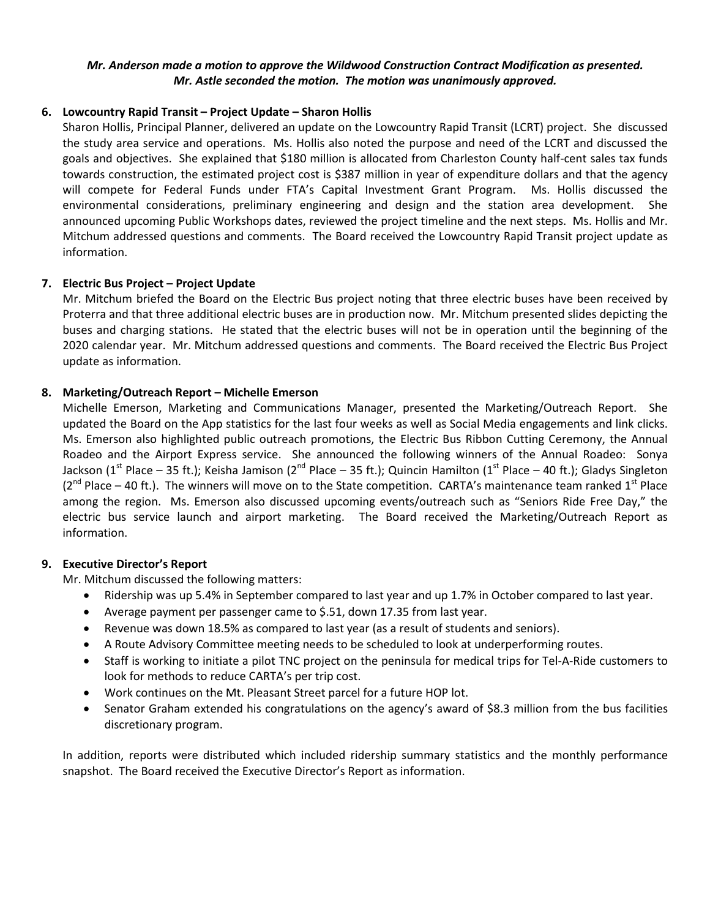### *Mr. Anderson made a motion to approve the Wildwood Construction Contract Modification as presented. Mr. Astle seconded the motion. The motion was unanimously approved.*

## **6. Lowcountry Rapid Transit – Project Update – Sharon Hollis**

Sharon Hollis, Principal Planner, delivered an update on the Lowcountry Rapid Transit (LCRT) project. She discussed the study area service and operations. Ms. Hollis also noted the purpose and need of the LCRT and discussed the goals and objectives. She explained that \$180 million is allocated from Charleston County half-cent sales tax funds towards construction, the estimated project cost is \$387 million in year of expenditure dollars and that the agency will compete for Federal Funds under FTA's Capital Investment Grant Program. Ms. Hollis discussed the environmental considerations, preliminary engineering and design and the station area development. She announced upcoming Public Workshops dates, reviewed the project timeline and the next steps. Ms. Hollis and Mr. Mitchum addressed questions and comments. The Board received the Lowcountry Rapid Transit project update as information.

## **7. Electric Bus Project – Project Update**

Mr. Mitchum briefed the Board on the Electric Bus project noting that three electric buses have been received by Proterra and that three additional electric buses are in production now. Mr. Mitchum presented slides depicting the buses and charging stations. He stated that the electric buses will not be in operation until the beginning of the 2020 calendar year. Mr. Mitchum addressed questions and comments. The Board received the Electric Bus Project update as information.

## **8. Marketing/Outreach Report – Michelle Emerson**

Michelle Emerson, Marketing and Communications Manager, presented the Marketing/Outreach Report. She updated the Board on the App statistics for the last four weeks as well as Social Media engagements and link clicks. Ms. Emerson also highlighted public outreach promotions, the Electric Bus Ribbon Cutting Ceremony, the Annual Roadeo and the Airport Express service. She announced the following winners of the Annual Roadeo: Sonya Jackson (1<sup>st</sup> Place – 35 ft.); Keisha Jamison (2<sup>nd</sup> Place – 35 ft.); Quincin Hamilton (1<sup>st</sup> Place – 40 ft.); Gladys Singleton ( $2^{nd}$  Place – 40 ft.). The winners will move on to the State competition. CARTA's maintenance team ranked  $1^{st}$  Place among the region. Ms. Emerson also discussed upcoming events/outreach such as "Seniors Ride Free Day," the electric bus service launch and airport marketing. The Board received the Marketing/Outreach Report as information.

### **9. Executive Director's Report**

Mr. Mitchum discussed the following matters:

- Ridership was up 5.4% in September compared to last year and up 1.7% in October compared to last year.
- Average payment per passenger came to \$.51, down 17.35 from last year.
- Revenue was down 18.5% as compared to last year (as a result of students and seniors).
- A Route Advisory Committee meeting needs to be scheduled to look at underperforming routes.
- Staff is working to initiate a pilot TNC project on the peninsula for medical trips for Tel-A-Ride customers to look for methods to reduce CARTA's per trip cost.
- Work continues on the Mt. Pleasant Street parcel for a future HOP lot.
- Senator Graham extended his congratulations on the agency's award of \$8.3 million from the bus facilities discretionary program.

In addition, reports were distributed which included ridership summary statistics and the monthly performance snapshot. The Board received the Executive Director's Report as information.